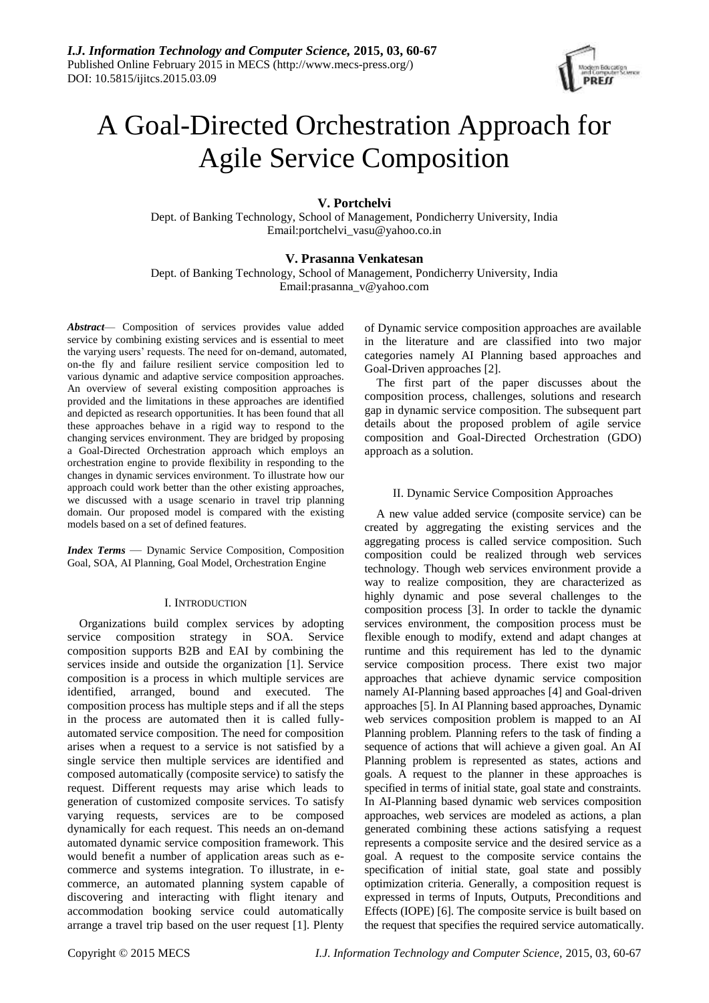

# A Goal-Directed Orchestration Approach for Agile Service Composition

# **V. Portchelvi**

Dept. of Banking Technology, School of Management, Pondicherry University, India Email[:portchelvi\\_vasu@yahoo.co.in](mailto:portchelvi_vasu@yahoo.co.in)

# **V. Prasanna Venkatesan**

Dept. of Banking Technology, School of Management, Pondicherry University, India Email:prasanna\_v@yahoo.com

*Abstract*— Composition of services provides value added service by combining existing services and is essential to meet the varying users' requests. The need for on-demand, automated, on-the fly and failure resilient service composition led to various dynamic and adaptive service composition approaches. An overview of several existing composition approaches is provided and the limitations in these approaches are identified and depicted as research opportunities. It has been found that all these approaches behave in a rigid way to respond to the changing services environment. They are bridged by proposing a Goal-Directed Orchestration approach which employs an orchestration engine to provide flexibility in responding to the changes in dynamic services environment. To illustrate how our approach could work better than the other existing approaches, we discussed with a usage scenario in travel trip planning domain. Our proposed model is compared with the existing models based on a set of defined features.

*Index Terms* — Dynamic Service Composition, Composition Goal, SOA, AI Planning, Goal Model, Orchestration Engine

# I. INTRODUCTION

Organizations build complex services by adopting service composition strategy in SOA. Service composition supports B2B and EAI by combining the services inside and outside the organization [1]. Service composition is a process in which multiple services are identified, arranged, bound and executed. The composition process has multiple steps and if all the steps in the process are automated then it is called fullyautomated service composition. The need for composition arises when a request to a service is not satisfied by a single service then multiple services are identified and composed automatically (composite service) to satisfy the request. Different requests may arise which leads to generation of customized composite services. To satisfy varying requests, services are to be composed dynamically for each request. This needs an on-demand automated dynamic service composition framework. This would benefit a number of application areas such as ecommerce and systems integration. To illustrate, in ecommerce, an automated planning system capable of discovering and interacting with flight itenary and accommodation booking service could automatically arrange a travel trip based on the user request [1]. Plenty of Dynamic service composition approaches are available in the literature and are classified into two major categories namely AI Planning based approaches and Goal-Driven approaches [2].

The first part of the paper discusses about the composition process, challenges, solutions and research gap in dynamic service composition. The subsequent part details about the proposed problem of agile service composition and Goal-Directed Orchestration (GDO) approach as a solution.

# II. Dynamic Service Composition Approaches

A new value added service (composite service) can be created by aggregating the existing services and the aggregating process is called service composition. Such composition could be realized through web services technology. Though web services environment provide a way to realize composition, they are characterized as highly dynamic and pose several challenges to the composition process [3]. In order to tackle the dynamic services environment, the composition process must be flexible enough to modify, extend and adapt changes at runtime and this requirement has led to the dynamic service composition process. There exist two major approaches that achieve dynamic service composition namely AI-Planning based approaches [4] and Goal-driven approaches [5]. In AI Planning based approaches, Dynamic web services composition problem is mapped to an AI Planning problem. Planning refers to the task of finding a sequence of actions that will achieve a given goal. An AI Planning problem is represented as states, actions and goals. A request to the planner in these approaches is specified in terms of initial state, goal state and constraints. In AI-Planning based dynamic web services composition approaches, web services are modeled as actions, a plan generated combining these actions satisfying a request represents a composite service and the desired service as a goal. A request to the composite service contains the specification of initial state, goal state and possibly optimization criteria. Generally, a composition request is expressed in terms of Inputs, Outputs, Preconditions and Effects (IOPE) [6]. The composite service is built based on the request that specifies the required service automatically.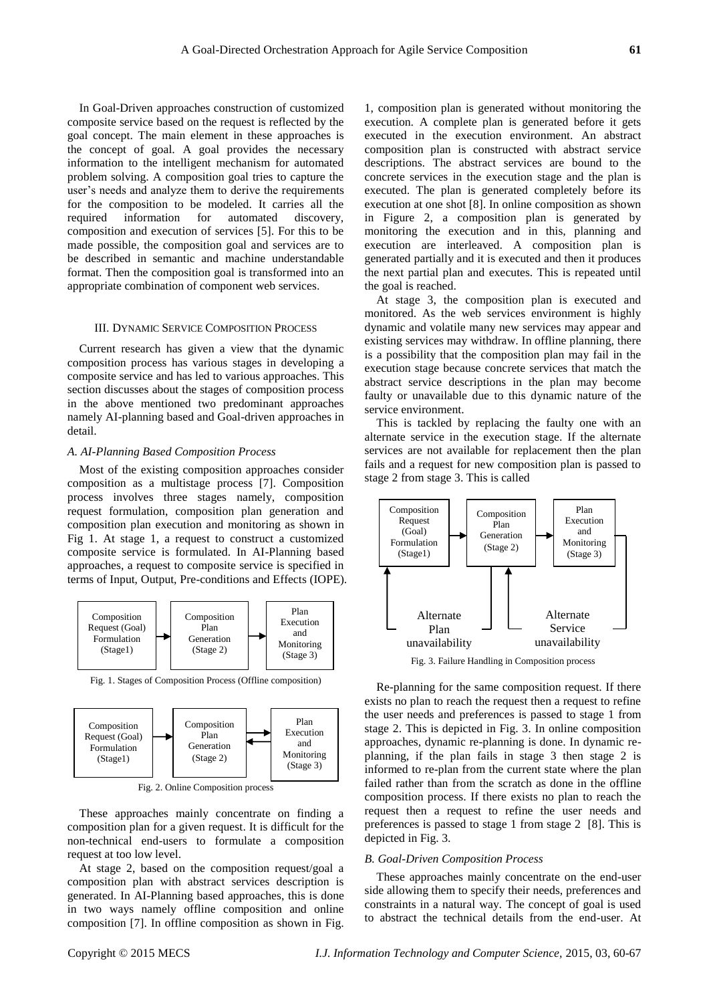In Goal-Driven approaches construction of customized composite service based on the request is reflected by the goal concept. The main element in these approaches is the concept of goal. A goal provides the necessary information to the intelligent mechanism for automated problem solving. A composition goal tries to capture the user's needs and analyze them to derive the requirements for the composition to be modeled. It carries all the required information for automated discovery, composition and execution of services [5]. For this to be made possible, the composition goal and services are to be described in semantic and machine understandable format. Then the composition goal is transformed into an appropriate combination of component web services.

## III. DYNAMIC SERVICE COMPOSITION PROCESS

Current research has given a view that the dynamic composition process has various stages in developing a composite service and has led to various approaches. This section discusses about the stages of composition process in the above mentioned two predominant approaches namely AI-planning based and Goal-driven approaches in detail.

# *A. AI-Planning Based Composition Process*

Most of the existing composition approaches consider composition as a multistage process [7]. Composition process involves three stages namely, composition request formulation, composition plan generation and composition plan execution and monitoring as shown in Fig 1. At stage 1, a request to construct a customized composite service is formulated. In AI-Planning based approaches, a request to composite service is specified in terms of Input, Output, Pre-conditions and Effects (IOPE).



Fig. 1. Stages of Composition Process (Offline composition)



Fig. 2. Online Composition process

These approaches mainly concentrate on finding a composition plan for a given request. It is difficult for the non-technical end-users to formulate a composition request at too low level.

At stage 2, based on the composition request/goal a composition plan with abstract services description is generated. In AI-Planning based approaches, this is done in two ways namely offline composition and online composition [7]. In offline composition as shown in Fig.

1, composition plan is generated without monitoring the execution. A complete plan is generated before it gets executed in the execution environment. An abstract composition plan is constructed with abstract service descriptions. The abstract services are bound to the concrete services in the execution stage and the plan is executed. The plan is generated completely before its execution at one shot [8]. In online composition as shown in Figure 2, a composition plan is generated by monitoring the execution and in this, planning and execution are interleaved. A composition plan is generated partially and it is executed and then it produces the next partial plan and executes. This is repeated until the goal is reached.

At stage 3, the composition plan is executed and monitored. As the web services environment is highly dynamic and volatile many new services may appear and existing services may withdraw. In offline planning, there is a possibility that the composition plan may fail in the execution stage because concrete services that match the abstract service descriptions in the plan may become faulty or unavailable due to this dynamic nature of the service environment.

This is tackled by replacing the faulty one with an alternate service in the execution stage. If the alternate services are not available for replacement then the plan fails and a request for new composition plan is passed to stage 2 from stage 3. This is called



Fig. 3. Failure Handling in Composition process

Re-planning for the same composition request. If there exists no plan to reach the request then a request to refine the user needs and preferences is passed to stage 1 from stage 2. This is depicted in Fig. 3. In online composition approaches, dynamic re-planning is done. In dynamic replanning, if the plan fails in stage 3 then stage 2 is informed to re-plan from the current state where the plan failed rather than from the scratch as done in the offline composition process. If there exists no plan to reach the request then a request to refine the user needs and preferences is passed to stage 1 from stage 2 [8]. This is depicted in Fig. 3.

## *B. Goal-Driven Composition Process*

These approaches mainly concentrate on the end-user side allowing them to specify their needs, preferences and constraints in a natural way. The concept of goal is used to abstract the technical details from the end-user. At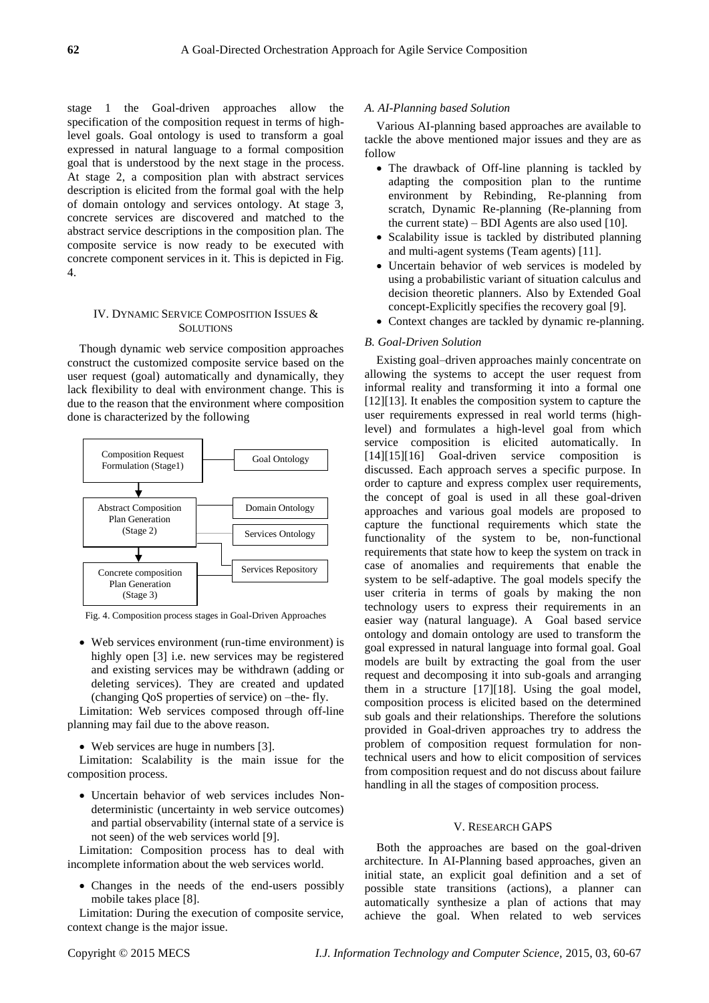stage 1 the Goal-driven approaches allow the specification of the composition request in terms of highlevel goals. Goal ontology is used to transform a goal expressed in natural language to a formal composition goal that is understood by the next stage in the process. At stage 2, a composition plan with abstract services description is elicited from the formal goal with the help of domain ontology and services ontology. At stage 3, concrete services are discovered and matched to the abstract service descriptions in the composition plan. The composite service is now ready to be executed with concrete component services in it. This is depicted in Fig. 4.

# IV. DYNAMIC SERVICE COMPOSITION ISSUES & **SOLUTIONS**

Though dynamic web service composition approaches construct the customized composite service based on the user request (goal) automatically and dynamically, they lack flexibility to deal with environment change. This is due to the reason that the environment where composition done is characterized by the following



Fig. 4. Composition process stages in Goal-Driven Approaches

 Web services environment (run-time environment) is highly open [3] i.e. new services may be registered and existing services may be withdrawn (adding or deleting services). They are created and updated (changing QoS properties of service) on –the- fly.

Limitation: Web services composed through off-line planning may fail due to the above reason.

Web services are huge in numbers [3].

Limitation: Scalability is the main issue for the composition process.

 Uncertain behavior of web services includes Nondeterministic (uncertainty in web service outcomes) and partial observability (internal state of a service is not seen) of the web services world [9].

Limitation: Composition process has to deal with incomplete information about the web services world.

• Changes in the needs of the end-users possibly mobile takes place [8].

Limitation: During the execution of composite service, context change is the major issue.

## *A. AI-Planning based Solution*

Various AI-planning based approaches are available to tackle the above mentioned major issues and they are as follow

- The drawback of Off-line planning is tackled by adapting the composition plan to the runtime environment by Rebinding, Re-planning from scratch, Dynamic Re-planning (Re-planning from the current state) – BDI Agents are also used  $[10]$ .
- Scalability issue is tackled by distributed planning and multi-agent systems (Team agents) [11].
- Uncertain behavior of web services is modeled by using a probabilistic variant of situation calculus and decision theoretic planners. Also by Extended Goal concept-Explicitly specifies the recovery goal [9].
- Context changes are tackled by dynamic re-planning.

#### *B. Goal-Driven Solution*

Existing goal–driven approaches mainly concentrate on allowing the systems to accept the user request from informal reality and transforming it into a formal one [12][13]. It enables the composition system to capture the user requirements expressed in real world terms (highlevel) and formulates a high-level goal from which service composition is elicited automatically. In [14][15][16] Goal-driven service composition is discussed. Each approach serves a specific purpose. In order to capture and express complex user requirements, the concept of goal is used in all these goal-driven approaches and various goal models are proposed to capture the functional requirements which state the functionality of the system to be, non-functional requirements that state how to keep the system on track in case of anomalies and requirements that enable the system to be self-adaptive. The goal models specify the user criteria in terms of goals by making the non technology users to express their requirements in an easier way (natural language). A Goal based service ontology and domain ontology are used to transform the goal expressed in natural language into formal goal. Goal models are built by extracting the goal from the user request and decomposing it into sub-goals and arranging them in a structure [17][18]. Using the goal model, composition process is elicited based on the determined sub goals and their relationships. Therefore the solutions provided in Goal-driven approaches try to address the problem of composition request formulation for nontechnical users and how to elicit composition of services from composition request and do not discuss about failure handling in all the stages of composition process.

# V. RESEARCH GAPS

Both the approaches are based on the goal-driven architecture. In AI-Planning based approaches, given an initial state, an explicit goal definition and a set of possible state transitions (actions), a planner can automatically synthesize a plan of actions that may achieve the goal. When related to web services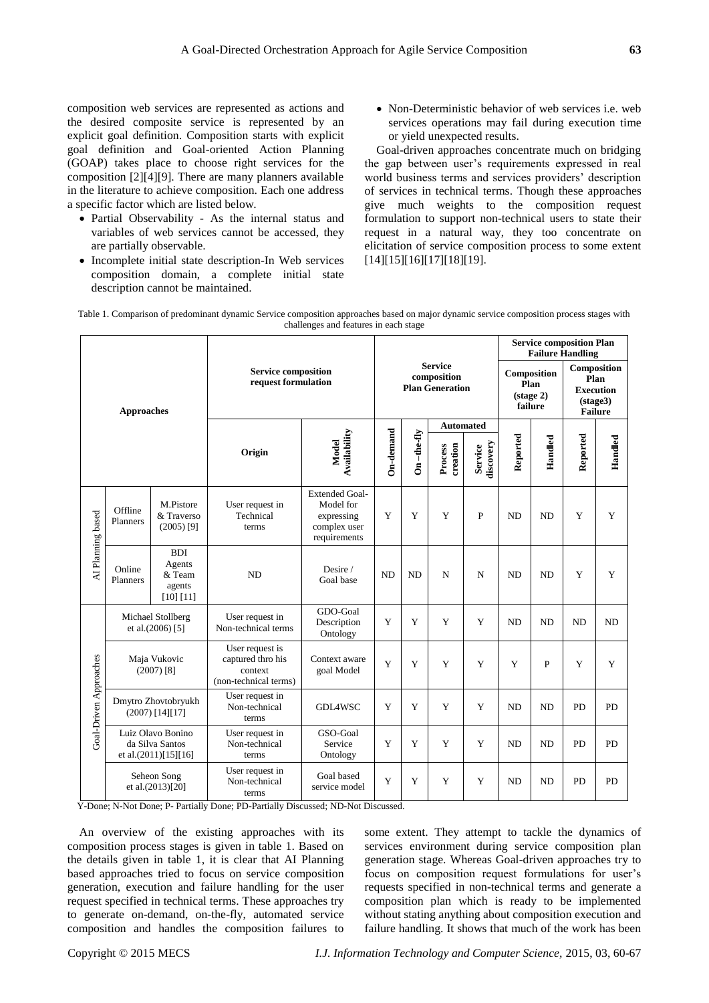composition web services are represented as actions and the desired composite service is represented by an explicit goal definition. Composition starts with explicit goal definition and Goal-oriented Action Planning (GOAP) takes place to choose right services for the composition [2][4][9]. There are many planners available in the literature to achieve composition. Each one address a specific factor which are listed below.

- Partial Observability As the internal status and variables of web services cannot be accessed, they are partially observable.
- Incomplete initial state description-In Web services composition domain, a complete initial state description cannot be maintained.

 Non-Deterministic behavior of web services i.e. web services operations may fail during execution time or yield unexpected results.

Goal-driven approaches concentrate much on bridging the gap between user's requirements expressed in real world business terms and services providers' description of services in technical terms. Though these approaches give much weights to the composition request formulation to support non-technical users to state their request in a natural way, they too concentrate on elicitation of service composition process to some extent [14][15][16][17][18][19].

| Table 1. Comparison of predominant dynamic Service composition approaches based on major dynamic service composition process stages with |
|------------------------------------------------------------------------------------------------------------------------------------------|
| challenges and features in each stage                                                                                                    |

| <b>Approaches</b>      |                                                                 |                                                       | <b>Service composition</b><br>request formulation                        |                                                                                  |                                                         |               |                     |                                                       | <b>Service composition Plan</b><br><b>Failure Handling</b> |                                                                       |           |                |
|------------------------|-----------------------------------------------------------------|-------------------------------------------------------|--------------------------------------------------------------------------|----------------------------------------------------------------------------------|---------------------------------------------------------|---------------|---------------------|-------------------------------------------------------|------------------------------------------------------------|-----------------------------------------------------------------------|-----------|----------------|
|                        |                                                                 |                                                       |                                                                          |                                                                                  | <b>Service</b><br>composition<br><b>Plan Generation</b> |               |                     | Composition<br>Plan<br>$(\text{stage } 2)$<br>failure |                                                            | Composition<br>Plan<br><b>Execution</b><br>(stage3)<br><b>Failure</b> |           |                |
|                        |                                                                 |                                                       |                                                                          |                                                                                  |                                                         |               | <b>Automated</b>    |                                                       |                                                            |                                                                       |           |                |
|                        |                                                                 |                                                       | Origin                                                                   | Availability<br>Model                                                            | On-demand                                               | $On$ -the-fly | creation<br>Process | discovery<br>Service                                  | Reported                                                   | Handled                                                               | Reported  | Handled        |
| AI Planning based      | Offline<br>Planners                                             | M.Pistore<br>& Traverso<br>$(2005)$ <sup>[9]</sup>    | User request in<br>Technical<br>terms                                    | <b>Extended Goal-</b><br>Model for<br>expressing<br>complex user<br>requirements | Y                                                       | Y             | Y                   | P                                                     | N <sub>D</sub>                                             | <b>ND</b>                                                             | Y         | Y              |
|                        | Online<br>Planners                                              | <b>BDI</b><br>Agents<br>& Team<br>agents<br>[10] [11] | <b>ND</b>                                                                | Desire /<br>Goal base                                                            | <b>ND</b>                                               | <b>ND</b>     | N                   | N                                                     | N <sub>D</sub>                                             | <b>ND</b>                                                             | Y         | Y              |
| Goal-Driven Approaches | Michael Stollberg<br>et al.(2006) [5]                           |                                                       | User request in<br>Non-technical terms                                   | GDO-Goal<br>Description<br>Ontology                                              | Y                                                       | Y             | Y                   | Y                                                     | <b>ND</b>                                                  | ND                                                                    | <b>ND</b> | N <sub>D</sub> |
|                        | Maja Vukovic<br>$(2007)$ [8]                                    |                                                       | User request is<br>captured thro his<br>context<br>(non-technical terms) | Context aware<br>goal Model                                                      | Y                                                       | Y             | Y                   | Y                                                     | Y                                                          | $\mathbf{P}$                                                          | Y         | Y              |
|                        | Dmytro Zhovtobryukh<br>$(2007)$ [14][17]                        |                                                       | User request in<br>Non-technical<br>terms                                | GDL4WSC                                                                          | Y                                                       | Y             | Y                   | Y                                                     | <b>ND</b>                                                  | <b>ND</b>                                                             | PD        | PD             |
|                        | Luiz Olavo Bonino<br>da Silva Santos<br>et al. $(2011)[15][16]$ |                                                       | User request in<br>Non-technical<br>terms                                | GSO-Goal<br>Service<br>Ontology                                                  | Y                                                       | Y             | Y                   | Y                                                     | <b>ND</b>                                                  | <b>ND</b>                                                             | PD        | PD             |
|                        | Seheon Song<br>et al.(2013)[20]                                 |                                                       | User request in<br>Non-technical<br>terms                                | Goal based<br>service model                                                      | Y                                                       | Y             | Y                   | Y                                                     | <b>ND</b>                                                  | <b>ND</b>                                                             | PD        | PD             |

Y-Done; N-Not Done; P- Partially Done; PD-Partially Discussed; ND-Not Discussed.

An overview of the existing approaches with its composition process stages is given in table 1. Based on the details given in table 1, it is clear that AI Planning based approaches tried to focus on service composition generation, execution and failure handling for the user request specified in technical terms. These approaches try to generate on-demand, on-the-fly, automated service composition and handles the composition failures to

some extent. They attempt to tackle the dynamics of services environment during service composition plan generation stage. Whereas Goal-driven approaches try to focus on composition request formulations for user's requests specified in non-technical terms and generate a composition plan which is ready to be implemented without stating anything about composition execution and failure handling. It shows that much of the work has been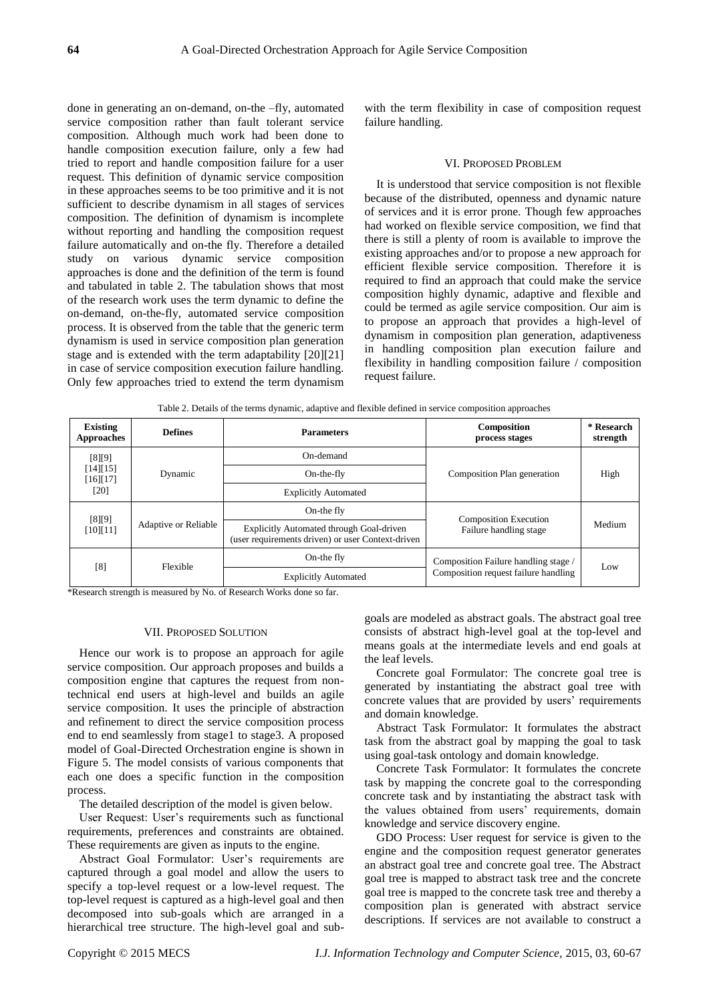done in generating an on-demand, on-the –fly, automated service composition rather than fault tolerant service composition. Although much work had been done to handle composition execution failure, only a few had tried to report and handle composition failure for a user request. This definition of dynamic service composition in these approaches seems to be too primitive and it is not sufficient to describe dynamism in all stages of services composition. The definition of dynamism is incomplete without reporting and handling the composition request failure automatically and on-the fly. Therefore a detailed study on various dynamic service composition approaches is done and the definition of the term is found and tabulated in table 2. The tabulation shows that most of the research work uses the term dynamic to define the on-demand, on-the-fly, automated service composition process. It is observed from the table that the generic term dynamism is used in service composition plan generation stage and is extended with the term adaptability [20][21] in case of service composition execution failure handling. Only few approaches tried to extend the term dynamism

with the term flexibility in case of composition request failure handling.

#### VI. PROPOSED PROBLEM

It is understood that service composition is not flexible because of the distributed, openness and dynamic nature of services and it is error prone. Though few approaches had worked on flexible service composition, we find that there is still a plenty of room is available to improve the existing approaches and/or to propose a new approach for efficient flexible service composition. Therefore it is required to find an approach that could make the service composition highly dynamic, adaptive and flexible and could be termed as agile service composition. Our aim is to propose an approach that provides a high-level of dynamism in composition plan generation, adaptiveness in handling composition plan execution failure and flexibility in handling composition failure / composition request failure.

Table 2. Details of the terms dynamic, adaptive and flexible defined in service composition approaches

| <b>Existing</b><br>Approaches             | <b>Defines</b>              | <b>Parameters</b>                                                                                    | Composition<br>process stages        | * Research<br>strength |
|-------------------------------------------|-----------------------------|------------------------------------------------------------------------------------------------------|--------------------------------------|------------------------|
| $[8]$ [9]<br>[14][15]<br>[16][17]<br>[20] | Dynamic                     | On-demand                                                                                            |                                      | High                   |
|                                           |                             | On-the-fly                                                                                           | Composition Plan generation          |                        |
|                                           |                             | <b>Explicitly Automated</b>                                                                          |                                      |                        |
| $[8][9]$<br>[10][11]                      | <b>Adaptive or Reliable</b> | On-the fly                                                                                           | <b>Composition Execution</b>         |                        |
|                                           |                             | <b>Explicitly Automated through Goal-driven</b><br>(user requirements driven) or user Context-driven | Failure handling stage               | Medium                 |
| $^{[8]}$                                  | Flexible                    | On-the fly                                                                                           | Composition Failure handling stage / | Low                    |
|                                           |                             | <b>Explicitly Automated</b>                                                                          | Composition request failure handling |                        |

\*Research strength is measured by No. of Research Works done so far.

## VII. PROPOSED SOLUTION

Hence our work is to propose an approach for agile service composition. Our approach proposes and builds a composition engine that captures the request from nontechnical end users at high-level and builds an agile service composition. It uses the principle of abstraction and refinement to direct the service composition process end to end seamlessly from stage1 to stage3. A proposed model of Goal-Directed Orchestration engine is shown in Figure 5. The model consists of various components that each one does a specific function in the composition process.

The detailed description of the model is given below.

User Request: User's requirements such as functional requirements, preferences and constraints are obtained. These requirements are given as inputs to the engine.

Abstract Goal Formulator: User's requirements are captured through a goal model and allow the users to specify a top-level request or a low-level request. The top-level request is captured as a high-level goal and then decomposed into sub-goals which are arranged in a hierarchical tree structure. The high-level goal and subgoals are modeled as abstract goals. The abstract goal tree consists of abstract high-level goal at the top-level and means goals at the intermediate levels and end goals at the leaf levels.

Concrete goal Formulator: The concrete goal tree is generated by instantiating the abstract goal tree with concrete values that are provided by users' requirements and domain knowledge.

Abstract Task Formulator: It formulates the abstract task from the abstract goal by mapping the goal to task using goal-task ontology and domain knowledge.

Concrete Task Formulator: It formulates the concrete task by mapping the concrete goal to the corresponding concrete task and by instantiating the abstract task with the values obtained from users' requirements, domain knowledge and service discovery engine.

GDO Process: User request for service is given to the engine and the composition request generator generates an abstract goal tree and concrete goal tree. The Abstract goal tree is mapped to abstract task tree and the concrete goal tree is mapped to the concrete task tree and thereby a composition plan is generated with abstract service descriptions. If services are not available to construct a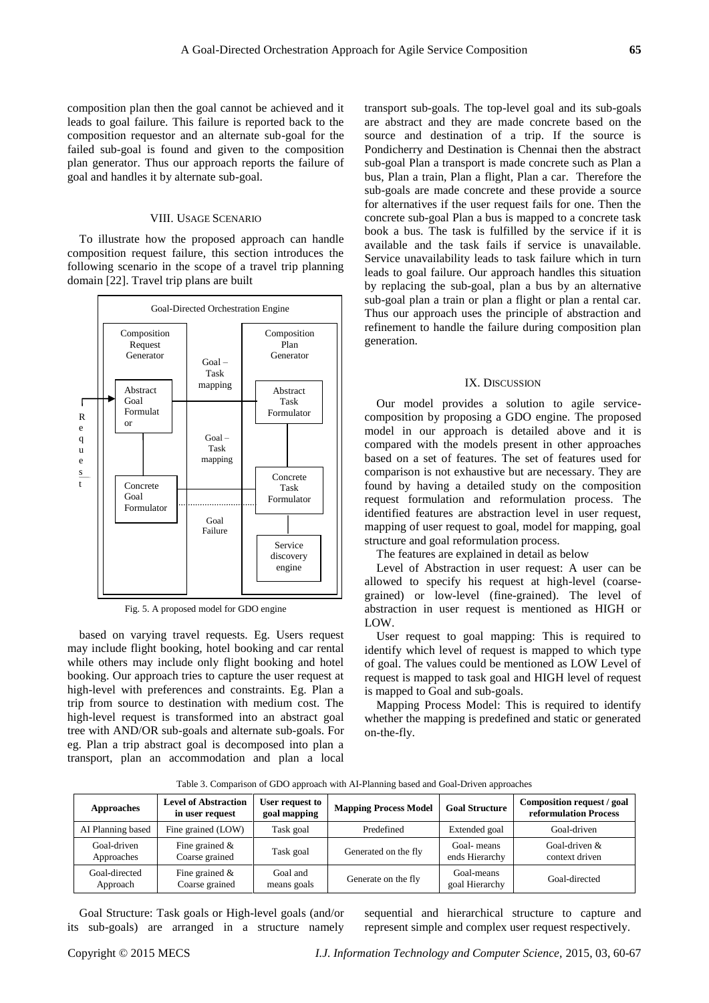composition plan then the goal cannot be achieved and it leads to goal failure. This failure is reported back to the composition requestor and an alternate sub-goal for the failed sub-goal is found and given to the composition plan generator. Thus our approach reports the failure of goal and handles it by alternate sub-goal.

## VIII. USAGE SCENARIO

To illustrate how the proposed approach can handle composition request failure, this section introduces the following scenario in the scope of a travel trip planning domain [22]. Travel trip plans are built



Fig. 5. A proposed model for GDO engine

based on varying travel requests. Eg. Users request may include flight booking, hotel booking and car rental while others may include only flight booking and hotel booking. Our approach tries to capture the user request at high-level with preferences and constraints. Eg. Plan a trip from source to destination with medium cost. The high-level request is transformed into an abstract goal tree with AND/OR sub-goals and alternate sub-goals. For eg. Plan a trip abstract goal is decomposed into plan a transport, plan an accommodation and plan a local transport sub-goals. The top-level goal and its sub-goals are abstract and they are made concrete based on the source and destination of a trip. If the source is Pondicherry and Destination is Chennai then the abstract sub-goal Plan a transport is made concrete such as Plan a bus, Plan a train, Plan a flight, Plan a car. Therefore the sub-goals are made concrete and these provide a source for alternatives if the user request fails for one. Then the concrete sub-goal Plan a bus is mapped to a concrete task book a bus. The task is fulfilled by the service if it is available and the task fails if service is unavailable. Service unavailability leads to task failure which in turn leads to goal failure. Our approach handles this situation by replacing the sub-goal, plan a bus by an alternative sub-goal plan a train or plan a flight or plan a rental car. Thus our approach uses the principle of abstraction and refinement to handle the failure during composition plan generation.

#### IX. DISCUSSION

Our model provides a solution to agile servicecomposition by proposing a GDO engine. The proposed model in our approach is detailed above and it is compared with the models present in other approaches based on a set of features. The set of features used for comparison is not exhaustive but are necessary. They are found by having a detailed study on the composition request formulation and reformulation process. The identified features are abstraction level in user request, mapping of user request to goal, model for mapping, goal structure and goal reformulation process.

The features are explained in detail as below

Level of Abstraction in user request: A user can be allowed to specify his request at high-level (coarsegrained) or low-level (fine-grained). The level of abstraction in user request is mentioned as HIGH or LOW.

User request to goal mapping: This is required to identify which level of request is mapped to which type of goal. The values could be mentioned as LOW Level of request is mapped to task goal and HIGH level of request is mapped to Goal and sub-goals.

Mapping Process Model: This is required to identify whether the mapping is predefined and static or generated on-the-fly.

| <b>Approaches</b>         | <b>Level of Abstraction</b><br>in user request | User request to<br>goal mapping | <b>Mapping Process Model</b> | <b>Goal Structure</b>        | Composition request / goal<br>reformulation Process |
|---------------------------|------------------------------------------------|---------------------------------|------------------------------|------------------------------|-----------------------------------------------------|
| AI Planning based         | Fine grained (LOW)                             | Task goal                       | Predefined                   | Extended goal                | Goal-driven                                         |
| Goal-driven<br>Approaches | Fine grained $\&$<br>Coarse grained            | Task goal                       | Generated on the fly         | Goal-means<br>ends Hierarchy | Goal-driven $&$<br>context driven                   |
| Goal-directed<br>Approach | Fine grained $\&$<br>Coarse grained            | Goal and<br>means goals         | Generate on the fly          | Goal-means<br>goal Hierarchy | Goal-directed                                       |

Table 3. Comparison of GDO approach with AI-Planning based and Goal-Driven approaches

Goal Structure: Task goals or High-level goals (and/or its sub-goals) are arranged in a structure namely

sequential and hierarchical structure to capture and represent simple and complex user request respectively.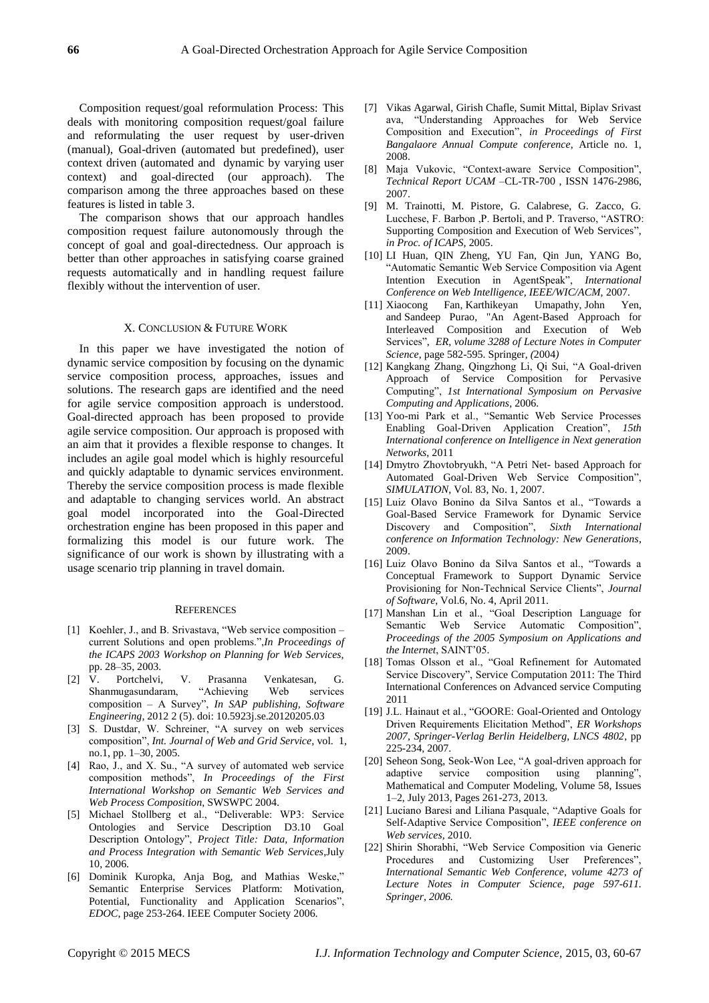Composition request/goal reformulation Process: This deals with monitoring composition request/goal failure and reformulating the user request by user-driven (manual), Goal-driven (automated but predefined), user context driven (automated and dynamic by varying user context) and goal-directed (our approach). The comparison among the three approaches based on these features is listed in table 3.

The comparison shows that our approach handles composition request failure autonomously through the concept of goal and goal-directedness. Our approach is better than other approaches in satisfying coarse grained requests automatically and in handling request failure flexibly without the intervention of user.

## X. CONCLUSION & FUTURE WORK

In this paper we have investigated the notion of dynamic service composition by focusing on the dynamic service composition process, approaches, issues and solutions. The research gaps are identified and the need for agile service composition approach is understood. Goal-directed approach has been proposed to provide agile service composition. Our approach is proposed with an aim that it provides a flexible response to changes. It includes an agile goal model which is highly resourceful and quickly adaptable to dynamic services environment. Thereby the service composition process is made flexible and adaptable to changing services world. An abstract goal model incorporated into the Goal-Directed orchestration engine has been proposed in this paper and formalizing this model is our future work. The significance of our work is shown by illustrating with a usage scenario trip planning in travel domain.

#### **REFERENCES**

- [1] Koehler, J., and B. Srivastava, "Web service composition current Solutions and open problems.",*In Proceedings of the ICAPS 2003 Workshop on Planning for Web Services,*  pp. 28–35, 2003.
- [2] V. Portchelvi, V. Prasanna Venkatesan, G. Shanmugasundaram, "Achieving Web services composition – A Survey", *In SAP publishing, Software Engineering,* 2012 2 (5). doi: 10.5923j.se.20120205.03
- [3] S. Dustdar, W. Schreiner, "A survey on web services composition", *Int. Journal of Web and Grid Service,* vol. 1, no.1, pp. 1–30, 2005.
- [4] Rao, J., and X. Su., "A survey of automated web service composition methods", *In Proceedings of the First International Workshop on Semantic Web Services and Web Process Composition*, SWSWPC 2004.
- [5] Michael Stollberg et al., "Deliverable: WP3: Service Ontologies and Service Description D3.10 Goal Description Ontology", *Project Title: Data, Information and Process Integration with Semantic Web Services*,July 10, 2006.
- [6] Dominik Kuropka, Anja Bog, and Mathias Weske," Semantic Enterprise Services Platform: Motivation, Potential, Functionality and Application Scenarios", *EDOC*, page 253-264. IEEE Computer Society 2006.
- [7] Vikas Agarwal, Girish Chafle, Sumit Mittal, Biplav Srivast ava, "Understanding Approaches for Web Service Composition and Execution", *in Proceedings of First Bangalaore Annual Compute conference*, Article no. 1, 2008.
- [8] Maja Vukovic, "Context-aware Service Composition", *Technical Report UCAM* –CL-TR-700 , ISSN 1476-2986, 2007.
- [9] M. Trainotti, M. Pistore, G. Calabrese, G. Zacco, G. Lucchese, F. Barbon ,P. Bertoli, and P. Traverso, "ASTRO: Supporting Composition and Execution of Web Services", *in Proc. of ICAPS,* 2005.
- [10] LI Huan, QIN Zheng, YU Fan, Qin Jun, YANG Bo, "Automatic Semantic Web Service Composition via Agent Intention Execution in AgentSpeak", *International Conference on Web Intelligence, IEEE/WIC/ACM,* 2007.
- [11] [Xiaocong Fan,](http://www.bibsonomy.org/author/Fan) [Karthikeyan Umapathy,](http://www.bibsonomy.org/author/Umapathy) [John Yen,](http://www.bibsonomy.org/author/Yen)  and [Sandeep Purao,](http://www.bibsonomy.org/author/Purao) ["An Agent-Based Approach for](http://www.bibsonomy.org/bibtex/f28f1c8b52866e1d1628ae2839f35b31)  [Interleaved Composition and Execution of Web](http://www.bibsonomy.org/bibtex/f28f1c8b52866e1d1628ae2839f35b31)  [Services",](http://www.bibsonomy.org/bibtex/f28f1c8b52866e1d1628ae2839f35b31) *ER, volume 3288 of Lecture Notes in Computer Science*, page 582-595. Springer, *(*2004*)*
- [12] Kangkang Zhang, Qingzhong Li, Qi Sui, "A Goal-driven Approach of Service Composition for Pervasive Computing", *1st International Symposium on Pervasive Computing and Applications*, 2006.
- [13] Yoo-mi Park et al., "Semantic Web Service Processes Enabling Goal-Driven Application Creation", *15th International conference on Intelligence in Next generation Networks*, 2011
- [14] Dmytro Zhovtobryukh, "A Petri Net- based Approach for Automated Goal-Driven Web Service Composition", *SIMULATION*, Vol. 83, No. 1, 2007.
- [15] Luiz Olavo Bonino da Silva Santos et al., "Towards a Goal-Based Service Framework for Dynamic Service Discovery and Composition", *Sixth International conference on Information Technology: New Generations*, 2009.
- [16] Luiz Olavo Bonino da Silva Santos et al., "Towards a Conceptual Framework to Support Dynamic Service Provisioning for Non-Technical Service Clients", *Journal of Software*, Vol.6, No. 4, April 2011.
- [17] Manshan Lin et al., "Goal Description Language for Semantic Web Service Automatic Composition", *Proceedings of the 2005 Symposium on Applications and the Internet*, SAINT'05.
- [18] Tomas Olsson et al., "Goal Refinement for Automated Service Discovery", Service Computation 2011: The Third International Conferences on Advanced service Computing 2011
- [19] J.L. Hainaut et al., "GOORE: Goal-Oriented and Ontology Driven Requirements Elicitation Method", *ER Workshops 2007, Springer-Verlag Berlin Heidelberg, LNCS 4802*, pp 225-234, 2007.
- [20] Seheon Song, Seok-Won Lee, "A goal-driven approach for adaptive service composition using planning", Mathematical and Computer Modeling, Volume 58, Issues 1–2, July 2013, Pages 261-273, 2013.
- [21] Luciano Baresi and Liliana Pasquale, "Adaptive Goals for Self-Adaptive Service Composition", *IEEE conference on Web services,* 2010.
- [22] Shirin Shorabhi, "Web Service Composition via Generic Procedures and Customizing User Preferences", *International Semantic Web Conference, volume 4273 of Lecture Notes in Computer Science, page 597-611. Springer, 2006.*